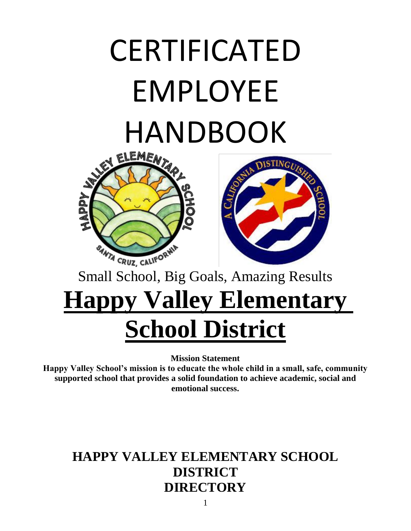# CERTIFICATED EMPLOYEE **HANDBOOK**





#### Small School, Big Goals, Amazing Results

# **Happy Valley Elementary School District**

**Mission Statement**

**Happy Valley School's mission is to educate the whole child in a small, safe, community supported school that provides a solid foundation to achieve academic, social and emotional success.**

#### **HAPPY VALLEY ELEMENTARY SCHOOL DISTRICT DIRECTORY**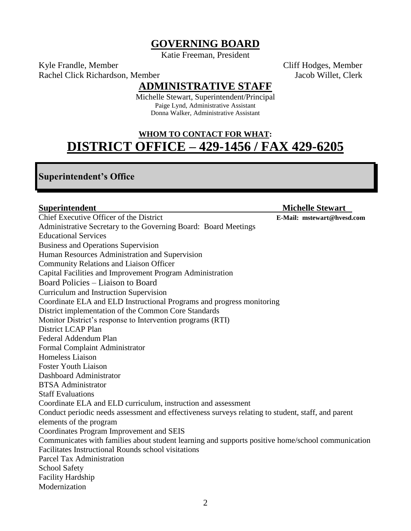#### **GOVERNING BOARD**

Katie Freeman, President

Kyle Frandle, Member Cliff Hodges, Member Rachel Click Richardson, Member **Jacob Willet, Clerk** Jacob Willet, Clerk

#### **ADMINISTRATIVE STAFF**

Michelle Stewart, Superintendent/Principal Paige Lynd, Administrative Assistant Donna Walker, Administrative Assistant

#### **WHOM TO CONTACT FOR WHAT: DISTRICT OFFICE – 429-1456 / FAX 429-6205**

#### **Superintendent's Office**

**Superintendent** Michelle Stewart **Michelle Stewart** Chief Executive Officer of the District **E-Mail: mstewart@hvesd.com** Administrative Secretary to the Governing Board: Board Meetings Educational Services Business and Operations Supervision Human Resources Administration and Supervision Community Relations and Liaison Officer Capital Facilities and Improvement Program Administration Board Policies – Liaison to Board Curriculum and Instruction Supervision Coordinate ELA and ELD Instructional Programs and progress monitoring District implementation of the Common Core Standards Monitor District's response to Intervention programs (RTI) District LCAP Plan Federal Addendum Plan Formal Complaint Administrator Homeless Liaison Foster Youth Liaison Dashboard Administrator BTSA Administrator Staff Evaluations Coordinate ELA and ELD curriculum, instruction and assessment Conduct periodic needs assessment and effectiveness surveys relating to student, staff, and parent elements of the program Coordinates Program Improvement and SEIS Communicates with families about student learning and supports positive home/school communication Facilitates Instructional Rounds school visitations Parcel Tax Administration School Safety Facility Hardship Modernization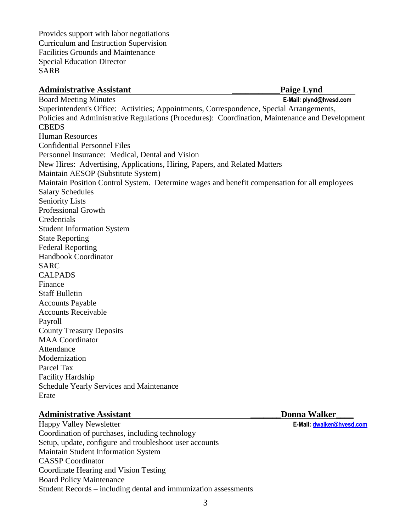Provides support with labor negotiations Curriculum and Instruction Supervision Facilities Grounds and Maintenance Special Education Director SARB

#### Administrative Assistant **Paige Lynd**

Board Meeting Minutes **E-Mail: plynd@hvesd.com** Superintendent's Office: Activities; Appointments, Correspondence, Special Arrangements, Policies and Administrative Regulations (Procedures): Coordination, Maintenance and Development **CBEDS** Human Resources Confidential Personnel Files Personnel Insurance: Medical, Dental and Vision New Hires: Advertising, Applications, Hiring, Papers, and Related Matters Maintain AESOP (Substitute System) Maintain Position Control System. Determine wages and benefit compensation for all employees Salary Schedules Seniority Lists Professional Growth **Credentials** Student Information System State Reporting Federal Reporting Handbook Coordinator SARC CALPADS Finance Staff Bulletin Accounts Payable Accounts Receivable Payroll County Treasury Deposits MAA Coordinator **Attendance** Modernization Parcel Tax Facility Hardship Schedule Yearly Services and Maintenance Erate

#### **Administrative Assistant**  The Community of the Community Community Donna Walker

Happy Valley Newsletter **E-Mail: [dwalker@hvesd.com](mailto:dwalker@hvesd.com)** Coordination of purchases, including technology Setup, update, configure and troubleshoot user accounts Maintain Student Information System CASSP Coordinator Coordinate Hearing and Vision Testing Board Policy Maintenance Student Records – including dental and immunization assessments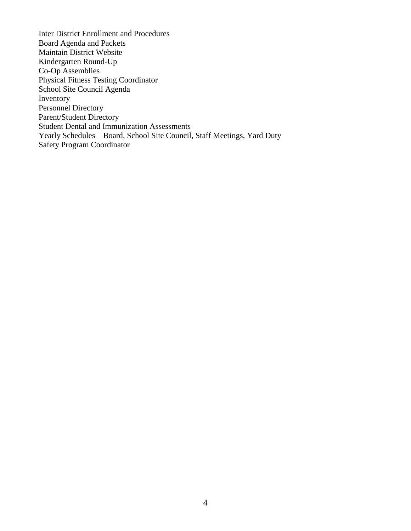Inter District Enrollment and Procedures Board Agenda and Packets Maintain District Website Kindergarten Round-Up Co-Op Assemblies Physical Fitness Testing Coordinator School Site Council Agenda Inventory Personnel Directory Parent/Student Directory Student Dental and Immunization Assessments Yearly Schedules – Board, School Site Council, Staff Meetings, Yard Duty Safety Program Coordinator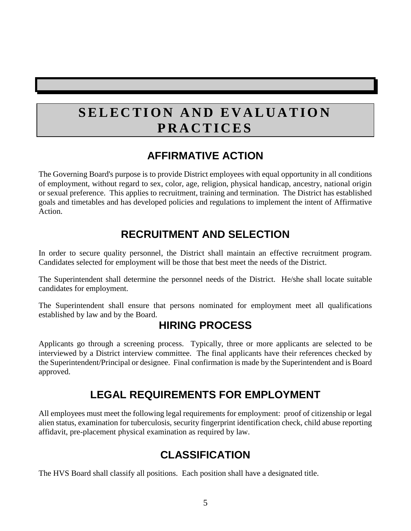### **SELECTION AND EVALUATION P R A C T I C E S**

#### **AFFIRMATIVE ACTION**

The Governing Board's purpose is to provide District employees with equal opportunity in all conditions of employment, without regard to sex, color, age, religion, physical handicap, ancestry, national origin or sexual preference. This applies to recruitment, training and termination. The District has established goals and timetables and has developed policies and regulations to implement the intent of Affirmative Action.

#### **RECRUITMENT AND SELECTION**

In order to secure quality personnel, the District shall maintain an effective recruitment program. Candidates selected for employment will be those that best meet the needs of the District.

The Superintendent shall determine the personnel needs of the District. He/she shall locate suitable candidates for employment.

The Superintendent shall ensure that persons nominated for employment meet all qualifications established by law and by the Board.

#### **HIRING PROCESS**

Applicants go through a screening process. Typically, three or more applicants are selected to be interviewed by a District interview committee. The final applicants have their references checked by the Superintendent/Principal or designee. Final confirmation is made by the Superintendent and is Board approved.

#### **LEGAL REQUIREMENTS FOR EMPLOYMENT**

All employees must meet the following legal requirements for employment: proof of citizenship or legal alien status, examination for tuberculosis, security fingerprint identification check, child abuse reporting affidavit, pre-placement physical examination as required by law.

#### **CLASSIFICATION**

The HVS Board shall classify all positions. Each position shall have a designated title.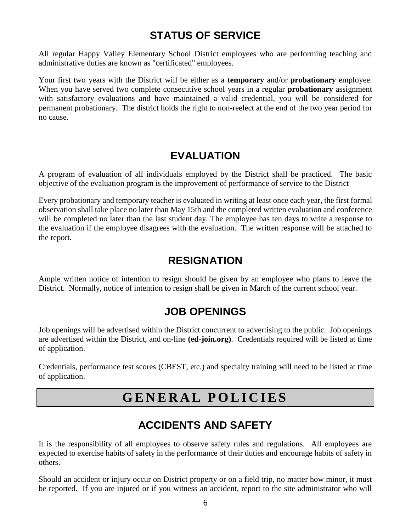#### **STATUS OF SERVICE**

All regular Happy Valley Elementary School District employees who are performing teaching and administrative duties are known as "certificated" employees.

Your first two years with the District will be either as a **temporary** and/or **probationary** employee. When you have served two complete consecutive school years in a regular **probationary** assignment with satisfactory evaluations and have maintained a valid credential, you will be considered for permanent probationary. The district holds the right to non-reelect at the end of the two year period for no cause.

#### **EVALUATION**

A program of evaluation of all individuals employed by the District shall be practiced. The basic objective of the evaluation program is the improvement of performance of service to the District

Every probationary and temporary teacher is evaluated in writing at least once each year, the first formal observation shall take place no later than May 15th and the completed written evaluation and conference will be completed no later than the last student day. The employee has ten days to write a response to the evaluation if the employee disagrees with the evaluation. The written response will be attached to the report.

#### **RESIGNATION**

Ample written notice of intention to resign should be given by an employee who plans to leave the District. Normally, notice of intention to resign shall be given in March of the current school year.

#### **JOB OPENINGS**

Job openings will be advertised within the District concurrent to advertising to the public. Job openings are advertised within the District, and on-line **(ed-join.org)**. Credentials required will be listed at time of application.

Credentials, performance test scores (CBEST, etc.) and specialty training will need to be listed at time of application.

#### **G E N E R A L P O L I C I E S**

#### **ACCIDENTS AND SAFETY**

It is the responsibility of all employees to observe safety rules and regulations. All employees are expected to exercise habits of safety in the performance of their duties and encourage habits of safety in others.

Should an accident or injury occur on District property or on a field trip, no matter how minor, it must be reported. If you are injured or if you witness an accident, report to the site administrator who will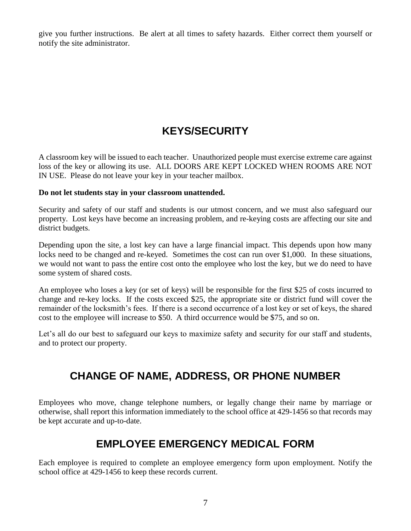give you further instructions. Be alert at all times to safety hazards. Either correct them yourself or notify the site administrator.

#### **KEYS/SECURITY**

A classroom key will be issued to each teacher. Unauthorized people must exercise extreme care against loss of the key or allowing its use. ALL DOORS ARE KEPT LOCKED WHEN ROOMS ARE NOT IN USE. Please do not leave your key in your teacher mailbox.

#### **Do not let students stay in your classroom unattended.**

Security and safety of our staff and students is our utmost concern, and we must also safeguard our property. Lost keys have become an increasing problem, and re-keying costs are affecting our site and district budgets.

Depending upon the site, a lost key can have a large financial impact. This depends upon how many locks need to be changed and re-keyed. Sometimes the cost can run over \$1,000. In these situations, we would not want to pass the entire cost onto the employee who lost the key, but we do need to have some system of shared costs.

An employee who loses a key (or set of keys) will be responsible for the first \$25 of costs incurred to change and re-key locks. If the costs exceed \$25, the appropriate site or district fund will cover the remainder of the locksmith's fees. If there is a second occurrence of a lost key or set of keys, the shared cost to the employee will increase to \$50. A third occurrence would be \$75, and so on.

Let's all do our best to safeguard our keys to maximize safety and security for our staff and students, and to protect our property.

#### **CHANGE OF NAME, ADDRESS, OR PHONE NUMBER**

Employees who move, change telephone numbers, or legally change their name by marriage or otherwise, shall report this information immediately to the school office at 429-1456 so that records may be kept accurate and up-to-date.

#### **EMPLOYEE EMERGENCY MEDICAL FORM**

Each employee is required to complete an employee emergency form upon employment. Notify the school office at 429-1456 to keep these records current.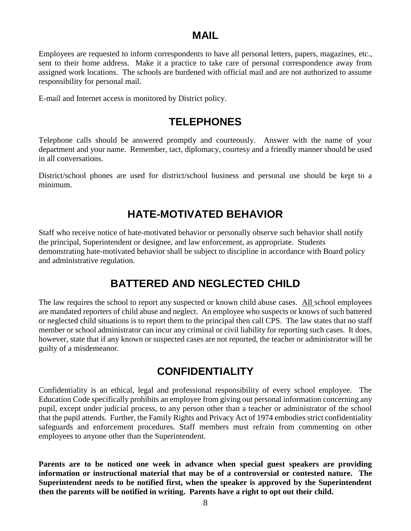#### **MAIL**

Employees are requested to inform correspondents to have all personal letters, papers, magazines, etc., sent to their home address. Make it a practice to take care of personal correspondence away from assigned work locations. The schools are burdened with official mail and are not authorized to assume responsibility for personal mail.

E-mail and Internet access is monitored by District policy.

#### **TELEPHONES**

Telephone calls should be answered promptly and courteously. Answer with the name of your department and your name. Remember, tact, diplomacy, courtesy and a friendly manner should be used in all conversations.

District/school phones are used for district/school business and personal use should be kept to a minimum.

#### **HATE-MOTIVATED BEHAVIOR**

Staff who receive notice of hate-motivated behavior or personally observe such behavior shall notify the principal, Superintendent or designee, and law enforcement, as appropriate. Students demonstrating hate-motivated behavior shall be subject to discipline in accordance with Board policy and administrative regulation.

#### **BATTERED AND NEGLECTED CHILD**

The law requires the school to report any suspected or known child abuse cases. All school employees are mandated reporters of child abuse and neglect. An employee who suspects or knows of such battered or neglected child situations is to report them to the principal then call CPS. The law states that no staff member or school administrator can incur any criminal or civil liability for reporting such cases. It does, however, state that if any known or suspected cases are not reported, the teacher or administrator will be guilty of a misdemeanor.

#### **CONFIDENTIALITY**

Confidentiality is an ethical, legal and professional responsibility of every school employee. The Education Code specifically prohibits an employee from giving out personal information concerning any pupil, except under judicial process, to any person other than a teacher or administrator of the school that the pupil attends. Further, the Family Rights and Privacy Act of 1974 embodies strict confidentiality safeguards and enforcement procedures. Staff members must refrain from commenting on other employees to anyone other than the Superintendent.

**Parents are to be noticed one week in advance when special guest speakers are providing information or instructional material that may be of a controversial or contested nature. The Superintendent needs to be notified first, when the speaker is approved by the Superintendent then the parents will be notified in writing. Parents have a right to opt out their child.**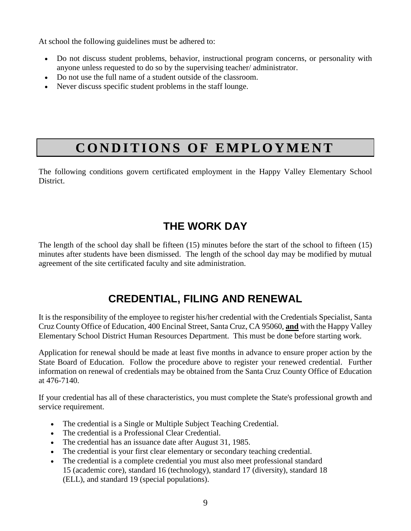At school the following guidelines must be adhered to:

- Do not discuss student problems, behavior, instructional program concerns, or personality with anyone unless requested to do so by the supervising teacher/ administrator.
- Do not use the full name of a student outside of the classroom.
- Never discuss specific student problems in the staff lounge.

## **CONDITIONS OF EMPLOYMENT**

The following conditions govern certificated employment in the Happy Valley Elementary School District.

#### **THE WORK DAY**

The length of the school day shall be fifteen (15) minutes before the start of the school to fifteen (15) minutes after students have been dismissed. The length of the school day may be modified by mutual agreement of the site certificated faculty and site administration.

#### **CREDENTIAL, FILING AND RENEWAL**

It is the responsibility of the employee to register his/her credential with the Credentials Specialist, Santa Cruz County Office of Education, 400 Encinal Street, Santa Cruz, CA 95060, **and** with the Happy Valley Elementary School District Human Resources Department. This must be done before starting work.

Application for renewal should be made at least five months in advance to ensure proper action by the State Board of Education. Follow the procedure above to register your renewed credential. Further information on renewal of credentials may be obtained from the Santa Cruz County Office of Education at 476-7140.

If your credential has all of these characteristics, you must complete the State's professional growth and service requirement.

- The credential is a Single or Multiple Subject Teaching Credential.
- The credential is a Professional Clear Credential.
- The credential has an issuance date after August 31, 1985.
- The credential is your first clear elementary or secondary teaching credential.
- The credential is a complete credential you must also meet professional standard 15 (academic core), standard 16 (technology), standard 17 (diversity), standard 18 (ELL), and standard 19 (special populations).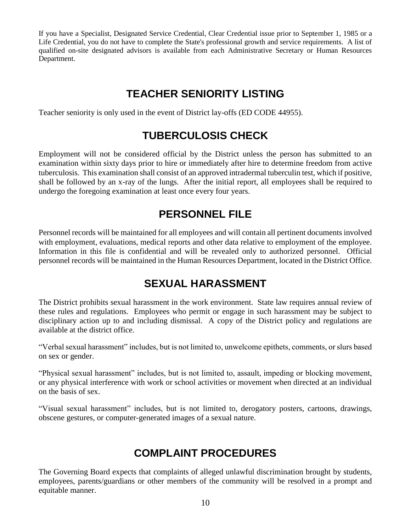If you have a Specialist, Designated Service Credential, Clear Credential issue prior to September 1, 1985 or a Life Credential, you do not have to complete the State's professional growth and service requirements. A list of qualified on-site designated advisors is available from each Administrative Secretary or Human Resources Department.

#### **TEACHER SENIORITY LISTING**

Teacher seniority is only used in the event of District lay-offs (ED CODE 44955).

#### **TUBERCULOSIS CHECK**

Employment will not be considered official by the District unless the person has submitted to an examination within sixty days prior to hire or immediately after hire to determine freedom from active tuberculosis. This examination shall consist of an approved intradermal tuberculin test, which if positive, shall be followed by an x-ray of the lungs. After the initial report, all employees shall be required to undergo the foregoing examination at least once every four years.

#### **PERSONNEL FILE**

Personnel records will be maintained for all employees and will contain all pertinent documents involved with employment, evaluations, medical reports and other data relative to employment of the employee. Information in this file is confidential and will be revealed only to authorized personnel. Official personnel records will be maintained in the Human Resources Department, located in the District Office.

#### **SEXUAL HARASSMENT**

The District prohibits sexual harassment in the work environment. State law requires annual review of these rules and regulations. Employees who permit or engage in such harassment may be subject to disciplinary action up to and including dismissal. A copy of the District policy and regulations are available at the district office.

"Verbal sexual harassment" includes, but is not limited to, unwelcome epithets, comments, or slurs based on sex or gender.

"Physical sexual harassment" includes, but is not limited to, assault, impeding or blocking movement, or any physical interference with work or school activities or movement when directed at an individual on the basis of sex.

"Visual sexual harassment" includes, but is not limited to, derogatory posters, cartoons, drawings, obscene gestures, or computer-generated images of a sexual nature.

#### **COMPLAINT PROCEDURES**

The Governing Board expects that complaints of alleged unlawful discrimination brought by students, employees, parents/guardians or other members of the community will be resolved in a prompt and equitable manner.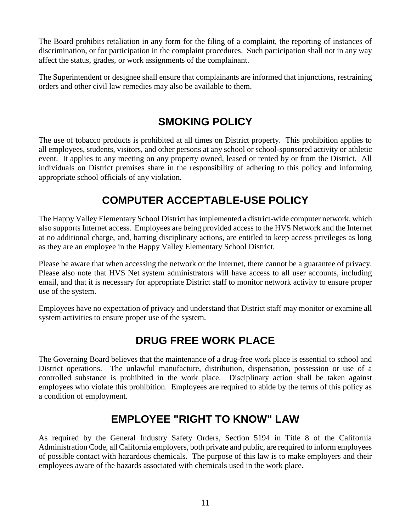The Board prohibits retaliation in any form for the filing of a complaint, the reporting of instances of discrimination, or for participation in the complaint procedures. Such participation shall not in any way affect the status, grades, or work assignments of the complainant.

The Superintendent or designee shall ensure that complainants are informed that injunctions, restraining orders and other civil law remedies may also be available to them.

#### **SMOKING POLICY**

The use of tobacco products is prohibited at all times on District property. This prohibition applies to all employees, students, visitors, and other persons at any school or school-sponsored activity or athletic event. It applies to any meeting on any property owned, leased or rented by or from the District. All individuals on District premises share in the responsibility of adhering to this policy and informing appropriate school officials of any violation.

#### **COMPUTER ACCEPTABLE-USE POLICY**

The Happy Valley Elementary School District has implemented a district-wide computer network, which also supports Internet access. Employees are being provided access to the HVS Network and the Internet at no additional charge, and, barring disciplinary actions, are entitled to keep access privileges as long as they are an employee in the Happy Valley Elementary School District.

Please be aware that when accessing the network or the Internet, there cannot be a guarantee of privacy. Please also note that HVS Net system administrators will have access to all user accounts, including email, and that it is necessary for appropriate District staff to monitor network activity to ensure proper use of the system.

Employees have no expectation of privacy and understand that District staff may monitor or examine all system activities to ensure proper use of the system.

#### **DRUG FREE WORK PLACE**

The Governing Board believes that the maintenance of a drug-free work place is essential to school and District operations. The unlawful manufacture, distribution, dispensation, possession or use of a controlled substance is prohibited in the work place. Disciplinary action shall be taken against employees who violate this prohibition. Employees are required to abide by the terms of this policy as a condition of employment.

#### **EMPLOYEE "RIGHT TO KNOW" LAW**

As required by the General Industry Safety Orders, Section 5194 in Title 8 of the California Administration Code, all California employers, both private and public, are required to inform employees of possible contact with hazardous chemicals. The purpose of this law is to make employers and their employees aware of the hazards associated with chemicals used in the work place.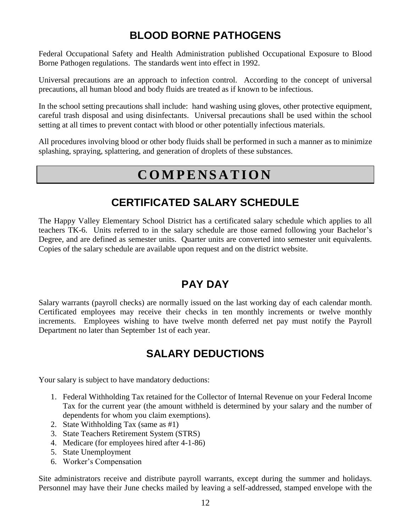#### **BLOOD BORNE PATHOGENS**

Federal Occupational Safety and Health Administration published Occupational Exposure to Blood Borne Pathogen regulations. The standards went into effect in 1992.

Universal precautions are an approach to infection control. According to the concept of universal precautions, all human blood and body fluids are treated as if known to be infectious.

In the school setting precautions shall include: hand washing using gloves, other protective equipment, careful trash disposal and using disinfectants. Universal precautions shall be used within the school setting at all times to prevent contact with blood or other potentially infectious materials.

All procedures involving blood or other body fluids shall be performed in such a manner as to minimize splashing, spraying, splattering, and generation of droplets of these substances.

#### **C O M P E N S A T I O N**

#### **CERTIFICATED SALARY SCHEDULE**

The Happy Valley Elementary School District has a certificated salary schedule which applies to all teachers TK-6. Units referred to in the salary schedule are those earned following your Bachelor's Degree, and are defined as semester units. Quarter units are converted into semester unit equivalents. Copies of the salary schedule are available upon request and on the district website.

#### **PAY DAY**

Salary warrants (payroll checks) are normally issued on the last working day of each calendar month. Certificated employees may receive their checks in ten monthly increments or twelve monthly increments. Employees wishing to have twelve month deferred net pay must notify the Payroll Department no later than September 1st of each year.

#### **SALARY DEDUCTIONS**

Your salary is subject to have mandatory deductions:

- 1. Federal Withholding Tax retained for the Collector of Internal Revenue on your Federal Income Tax for the current year (the amount withheld is determined by your salary and the number of dependents for whom you claim exemptions).
- 2. State Withholding Tax (same as #1)
- 3. State Teachers Retirement System (STRS)
- 4. Medicare (for employees hired after 4-1-86)
- 5. State Unemployment
- 6. Worker's Compensation

Site administrators receive and distribute payroll warrants, except during the summer and holidays. Personnel may have their June checks mailed by leaving a self-addressed, stamped envelope with the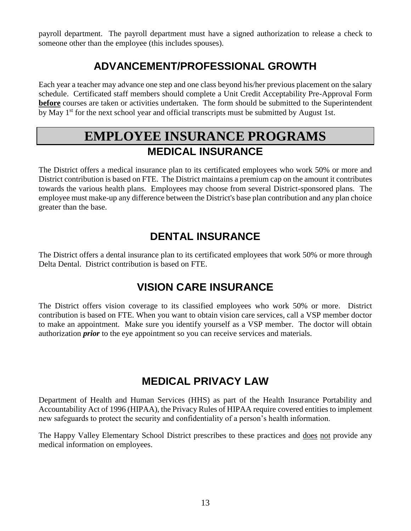payroll department. The payroll department must have a signed authorization to release a check to someone other than the employee (this includes spouses).

#### **ADVANCEMENT/PROFESSIONAL GROWTH**

Each year a teacher may advance one step and one class beyond his/her previous placement on the salary schedule. Certificated staff members should complete a Unit Credit Acceptability Pre-Approval Form **before** courses are taken or activities undertaken. The form should be submitted to the Superintendent by May 1<sup>st</sup> for the next school year and official transcripts must be submitted by August 1st.

#### **EMPLOYEE INSURANCE PROGRAMS MEDICAL INSURANCE**

The District offers a medical insurance plan to its certificated employees who work 50% or more and District contribution is based on FTE. The District maintains a premium cap on the amount it contributes towards the various health plans. Employees may choose from several District-sponsored plans. The employee must make-up any difference between the District's base plan contribution and any plan choice greater than the base.

#### **DENTAL INSURANCE**

The District offers a dental insurance plan to its certificated employees that work 50% or more through Delta Dental. District contribution is based on FTE.

#### **VISION CARE INSURANCE**

The District offers vision coverage to its classified employees who work 50% or more. District contribution is based on FTE. When you want to obtain vision care services, call a VSP member doctor to make an appointment. Make sure you identify yourself as a VSP member. The doctor will obtain authorization *prior* to the eye appointment so you can receive services and materials.

#### **MEDICAL PRIVACY LAW**

Department of Health and Human Services (HHS) as part of the Health Insurance Portability and Accountability Act of 1996 (HIPAA), the Privacy Rules of HIPAA require covered entities to implement new safeguards to protect the security and confidentiality of a person's health information.

The Happy Valley Elementary School District prescribes to these practices and does not provide any medical information on employees.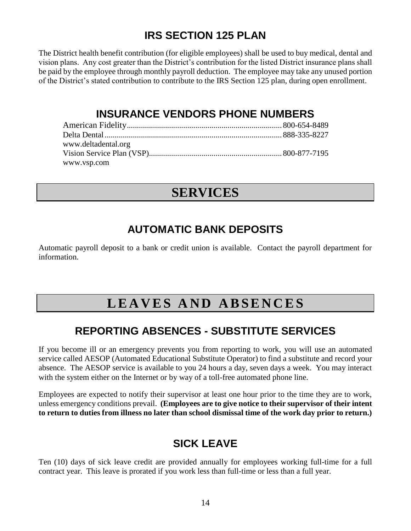#### **IRS SECTION 125 PLAN**

The District health benefit contribution (for eligible employees) shall be used to buy medical, dental and vision plans. Any cost greater than the District's contribution for the listed District insurance plans shall be paid by the employee through monthly payroll deduction. The employee may take any unused portion of the District's stated contribution to contribute to the IRS Section 125 plan, during open enrollment.

#### **INSURANCE VENDORS PHONE NUMBERS**

| www.deltadental.org |  |
|---------------------|--|
|                     |  |
| www.vsp.com         |  |

#### **SERVICES**

#### **AUTOMATIC BANK DEPOSITS**

Automatic payroll deposit to a bank or credit union is available. Contact the payroll department for information.

#### L E A V E S A N D A B S E N C E S

#### **REPORTING ABSENCES - SUBSTITUTE SERVICES**

If you become ill or an emergency prevents you from reporting to work, you will use an automated service called AESOP (Automated Educational Substitute Operator) to find a substitute and record your absence. The AESOP service is available to you 24 hours a day, seven days a week. You may interact with the system either on the Internet or by way of a toll-free automated phone line.

Employees are expected to notify their supervisor at least one hour prior to the time they are to work, unless emergency conditions prevail. **(Employees are to give notice to their supervisor of their intent to return to duties from illness no later than school dismissal time of the work day prior to return.)**

#### **SICK LEAVE**

Ten (10) days of sick leave credit are provided annually for employees working full-time for a full contract year. This leave is prorated if you work less than full-time or less than a full year.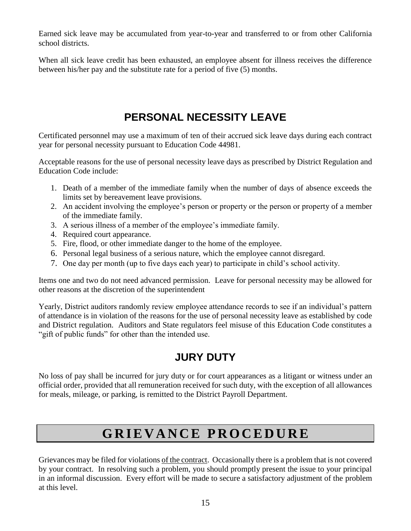Earned sick leave may be accumulated from year-to-year and transferred to or from other California school districts.

When all sick leave credit has been exhausted, an employee absent for illness receives the difference between his/her pay and the substitute rate for a period of five (5) months.

#### **PERSONAL NECESSITY LEAVE**

Certificated personnel may use a maximum of ten of their accrued sick leave days during each contract year for personal necessity pursuant to Education Code 44981.

Acceptable reasons for the use of personal necessity leave days as prescribed by District Regulation and Education Code include:

- 1. Death of a member of the immediate family when the number of days of absence exceeds the limits set by bereavement leave provisions.
- 2. An accident involving the employee's person or property or the person or property of a member of the immediate family.
- 3. A serious illness of a member of the employee's immediate family.
- 4. Required court appearance.
- 5. Fire, flood, or other immediate danger to the home of the employee.
- 6. Personal legal business of a serious nature, which the employee cannot disregard.
- 7. One day per month (up to five days each year) to participate in child's school activity.

Items one and two do not need advanced permission. Leave for personal necessity may be allowed for other reasons at the discretion of the superintendent

Yearly, District auditors randomly review employee attendance records to see if an individual's pattern of attendance is in violation of the reasons for the use of personal necessity leave as established by code and District regulation. Auditors and State regulators feel misuse of this Education Code constitutes a "gift of public funds" for other than the intended use.

#### **JURY DUTY**

No loss of pay shall be incurred for jury duty or for court appearances as a litigant or witness under an official order, provided that all remuneration received for such duty, with the exception of all allowances for meals, mileage, or parking, is remitted to the District Payroll Department.

### **G R I E V A N C E P R O C E D U R E**

Grievances may be filed for violations of the contract. Occasionally there is a problem that is not covered by your contract. In resolving such a problem, you should promptly present the issue to your principal in an informal discussion. Every effort will be made to secure a satisfactory adjustment of the problem at this level.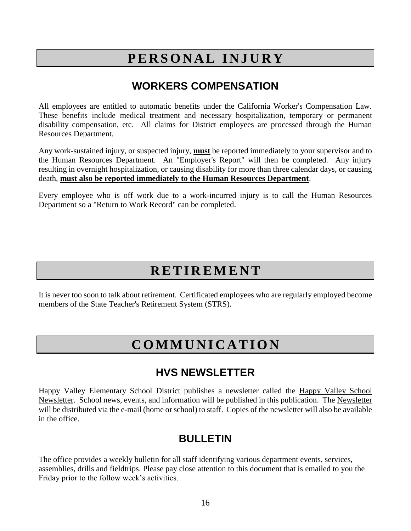#### **P E R S O N A L I N J U R Y**

#### **WORKERS COMPENSATION**

All employees are entitled to automatic benefits under the California Worker's Compensation Law. These benefits include medical treatment and necessary hospitalization, temporary or permanent disability compensation, etc. All claims for District employees are processed through the Human Resources Department.

Any work-sustained injury, or suspected injury, **must** be reported immediately to your supervisor and to the Human Resources Department. An "Employer's Report" will then be completed. Any injury resulting in overnight hospitalization, or causing disability for more than three calendar days, or causing death, **must also be reported immediately to the Human Resources Department**.

Every employee who is off work due to a work-incurred injury is to call the Human Resources Department so a "Return to Work Record" can be completed.

#### **R E T I R E M E N T**

It is never too soon to talk about retirement. Certificated employees who are regularly employed become members of the State Teacher's Retirement System (STRS).

#### **C O M M U N I C A T I O N**

#### **HVS NEWSLETTER**

Happy Valley Elementary School District publishes a newsletter called the Happy Valley School Newsletter. School news, events, and information will be published in this publication. The Newsletter will be distributed via the e-mail (home or school) to staff. Copies of the newsletter will also be available in the office.

#### **BULLETIN**

The office provides a weekly bulletin for all staff identifying various department events, services, assemblies, drills and fieldtrips. Please pay close attention to this document that is emailed to you the Friday prior to the follow week's activities.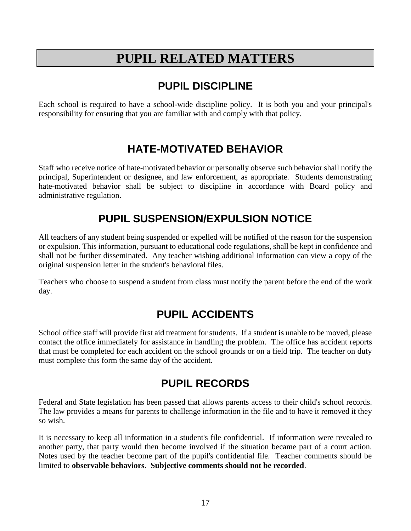#### **PUPIL RELATED MATTERS**

#### **PUPIL DISCIPLINE**

Each school is required to have a school-wide discipline policy. It is both you and your principal's responsibility for ensuring that you are familiar with and comply with that policy.

#### **HATE-MOTIVATED BEHAVIOR**

Staff who receive notice of hate-motivated behavior or personally observe such behavior shall notify the principal, Superintendent or designee, and law enforcement, as appropriate. Students demonstrating hate-motivated behavior shall be subject to discipline in accordance with Board policy and administrative regulation.

#### **PUPIL SUSPENSION/EXPULSION NOTICE**

All teachers of any student being suspended or expelled will be notified of the reason for the suspension or expulsion. This information, pursuant to educational code regulations, shall be kept in confidence and shall not be further disseminated. Any teacher wishing additional information can view a copy of the original suspension letter in the student's behavioral files.

Teachers who choose to suspend a student from class must notify the parent before the end of the work day.

#### **PUPIL ACCIDENTS**

School office staff will provide first aid treatment for students. If a student is unable to be moved, please contact the office immediately for assistance in handling the problem. The office has accident reports that must be completed for each accident on the school grounds or on a field trip. The teacher on duty must complete this form the same day of the accident.

#### **PUPIL RECORDS**

Federal and State legislation has been passed that allows parents access to their child's school records. The law provides a means for parents to challenge information in the file and to have it removed it they so wish.

It is necessary to keep all information in a student's file confidential. If information were revealed to another party, that party would then become involved if the situation became part of a court action. Notes used by the teacher become part of the pupil's confidential file. Teacher comments should be limited to **observable behaviors**. **Subjective comments should not be recorded**.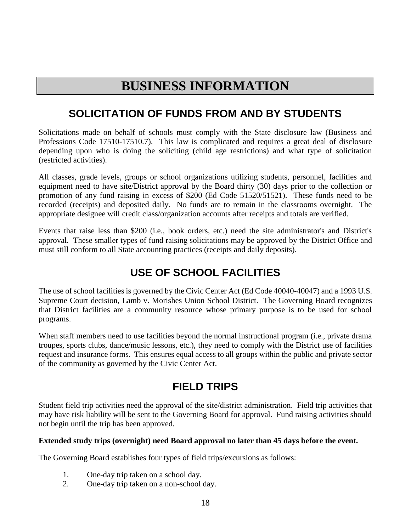#### **BUSINESS INFORMATION**

#### **SOLICITATION OF FUNDS FROM AND BY STUDENTS**

Solicitations made on behalf of schools must comply with the State disclosure law (Business and Professions Code 17510-17510.7). This law is complicated and requires a great deal of disclosure depending upon who is doing the soliciting (child age restrictions) and what type of solicitation (restricted activities).

All classes, grade levels, groups or school organizations utilizing students, personnel, facilities and equipment need to have site/District approval by the Board thirty (30) days prior to the collection or promotion of any fund raising in excess of \$200 (Ed Code 51520/51521). These funds need to be recorded (receipts) and deposited daily. No funds are to remain in the classrooms overnight. The appropriate designee will credit class/organization accounts after receipts and totals are verified.

Events that raise less than \$200 (i.e., book orders, etc.) need the site administrator's and District's approval. These smaller types of fund raising solicitations may be approved by the District Office and must still conform to all State accounting practices (receipts and daily deposits).

#### **USE OF SCHOOL FACILITIES**

The use of school facilities is governed by the Civic Center Act (Ed Code 40040-40047) and a 1993 U.S. Supreme Court decision, Lamb v. Morishes Union School District. The Governing Board recognizes that District facilities are a community resource whose primary purpose is to be used for school programs.

When staff members need to use facilities beyond the normal instructional program (i.e., private drama troupes, sports clubs, dance/music lessons, etc.), they need to comply with the District use of facilities request and insurance forms. This ensures equal access to all groups within the public and private sector of the community as governed by the Civic Center Act.

#### **FIELD TRIPS**

Student field trip activities need the approval of the site/district administration. Field trip activities that may have risk liability will be sent to the Governing Board for approval. Fund raising activities should not begin until the trip has been approved.

#### **Extended study trips (overnight) need Board approval no later than 45 days before the event.**

The Governing Board establishes four types of field trips/excursions as follows:

- 1. One-day trip taken on a school day.
- 2. One-day trip taken on a non-school day.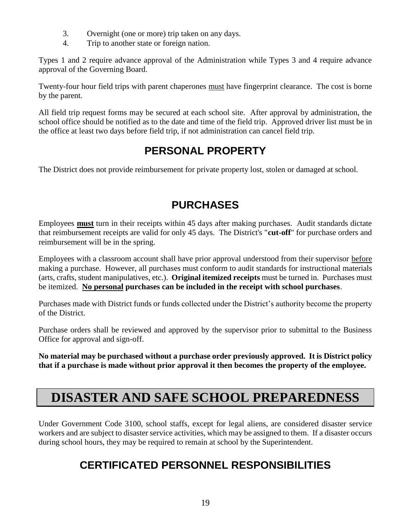- 3. Overnight (one or more) trip taken on any days.
- 4. Trip to another state or foreign nation.

Types 1 and 2 require advance approval of the Administration while Types 3 and 4 require advance approval of the Governing Board.

Twenty-four hour field trips with parent chaperones must have fingerprint clearance. The cost is borne by the parent.

All field trip request forms may be secured at each school site. After approval by administration, the school office should be notified as to the date and time of the field trip. Approved driver list must be in the office at least two days before field trip, if not administration can cancel field trip.

#### **PERSONAL PROPERTY**

The District does not provide reimbursement for private property lost, stolen or damaged at school.

#### **PURCHASES**

Employees **must** turn in their receipts within 45 days after making purchases. Audit standards dictate that reimbursement receipts are valid for only 45 days. The District's "**cut-off**" for purchase orders and reimbursement will be in the spring.

Employees with a classroom account shall have prior approval understood from their supervisor before making a purchase. However, all purchases must conform to audit standards for instructional materials (arts, crafts, student manipulatives, etc.). **Original itemized receipts** must be turned in. Purchases must be itemized. **No personal purchases can be included in the receipt with school purchases**.

Purchases made with District funds or funds collected under the District's authority become the property of the District.

Purchase orders shall be reviewed and approved by the supervisor prior to submittal to the Business Office for approval and sign-off.

**No material may be purchased without a purchase order previously approved. It is District policy that if a purchase is made without prior approval it then becomes the property of the employee.**

#### **DISASTER AND SAFE SCHOOL PREPAREDNESS**

Under Government Code 3100, school staffs, except for legal aliens, are considered disaster service workers and are subject to disaster service activities, which may be assigned to them. If a disaster occurs during school hours, they may be required to remain at school by the Superintendent.

#### **CERTIFICATED PERSONNEL RESPONSIBILITIES**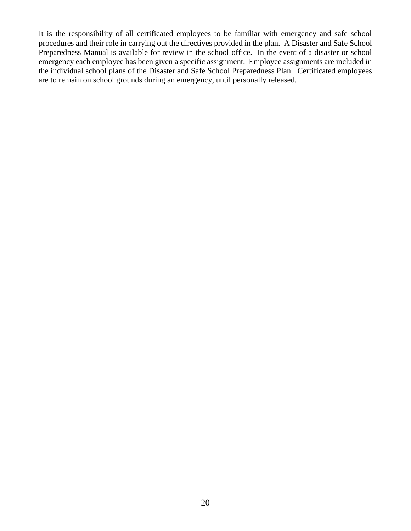It is the responsibility of all certificated employees to be familiar with emergency and safe school procedures and their role in carrying out the directives provided in the plan. A Disaster and Safe School Preparedness Manual is available for review in the school office. In the event of a disaster or school emergency each employee has been given a specific assignment. Employee assignments are included in the individual school plans of the Disaster and Safe School Preparedness Plan. Certificated employees are to remain on school grounds during an emergency, until personally released.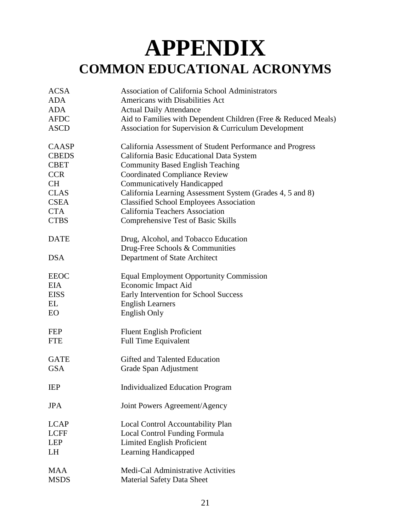## **APPENDIX COMMON EDUCATIONAL ACRONYMS**

| <b>ACSA</b>  | <b>Association of California School Administrators</b>         |
|--------------|----------------------------------------------------------------|
| <b>ADA</b>   | <b>Americans with Disabilities Act</b>                         |
| <b>ADA</b>   | <b>Actual Daily Attendance</b>                                 |
| <b>AFDC</b>  | Aid to Families with Dependent Children (Free & Reduced Meals) |
| <b>ASCD</b>  | Association for Supervision & Curriculum Development           |
| CAASP        | California Assessment of Student Performance and Progress      |
| <b>CBEDS</b> | California Basic Educational Data System                       |
| <b>CBET</b>  | <b>Community Based English Teaching</b>                        |
| <b>CCR</b>   | <b>Coordinated Compliance Review</b>                           |
| <b>CH</b>    | Communicatively Handicapped                                    |
| <b>CLAS</b>  | California Learning Assessment System (Grades 4, 5 and 8)      |
| <b>CSEA</b>  | <b>Classified School Employees Association</b>                 |
| <b>CTA</b>   | California Teachers Association                                |
| <b>CTBS</b>  | <b>Comprehensive Test of Basic Skills</b>                      |
| <b>DATE</b>  | Drug, Alcohol, and Tobacco Education                           |
|              | Drug-Free Schools & Communities                                |
| <b>DSA</b>   | Department of State Architect                                  |
| <b>EEOC</b>  | <b>Equal Employment Opportunity Commission</b>                 |
| <b>EIA</b>   | Economic Impact Aid                                            |
| <b>EISS</b>  | Early Intervention for School Success                          |
| EL           | <b>English Learners</b>                                        |
| <b>EO</b>    | <b>English Only</b>                                            |
| <b>FEP</b>   | <b>Fluent English Proficient</b>                               |
| <b>FTE</b>   | <b>Full Time Equivalent</b>                                    |
| <b>GATE</b>  | Gifted and Talented Education                                  |
| <b>GSA</b>   | Grade Span Adjustment                                          |
| <b>IEP</b>   | <b>Individualized Education Program</b>                        |
| <b>JPA</b>   | Joint Powers Agreement/Agency                                  |
| <b>LCAP</b>  | Local Control Accountability Plan                              |
| <b>LCFF</b>  | <b>Local Control Funding Formula</b>                           |
| <b>LEP</b>   | <b>Limited English Proficient</b>                              |
| <b>LH</b>    | Learning Handicapped                                           |
| <b>MAA</b>   | Medi-Cal Administrative Activities                             |
| <b>MSDS</b>  | Material Safety Data Sheet                                     |